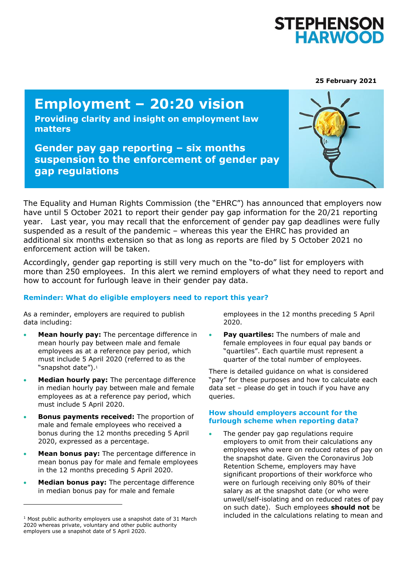

**25 February 2021**

# **Employment – 20:20 vision**

**Providing clarity and insight on employment law matters**

**Gender pay gap reporting – six months suspension to the enforcement of gender pay gap regulations**



The Equality and Human Rights Commission (the "EHRC") has announced that employers now have until 5 October 2021 to report their gender pay gap information for the 20/21 reporting year. Last year, you may recall that the enforcement of gender pay gap deadlines were fully suspended as a result of the pandemic – whereas this year the EHRC has provided an additional six months extension so that as long as reports are filed by 5 October 2021 no enforcement action will be taken.

Accordingly, gender gap reporting is still very much on the "to-do" list for employers with more than 250 employees. In this alert we remind employers of what they need to report and how to account for furlough leave in their gender pay data.

## **Reminder: What do eligible employers need to report this year?**

As a reminder, employers are required to publish data including:

- **Mean hourly pay:** The percentage difference in mean hourly pay between male and female employees as at a reference pay period, which must include 5 April 2020 (referred to as the "snapshot date").<sup>1</sup>
- **Median hourly pay:** The percentage difference in median hourly pay between male and female employees as at a reference pay period, which must include 5 April 2020.
- **Bonus payments received:** The proportion of male and female employees who received a bonus during the 12 months preceding 5 April 2020, expressed as a percentage.
- **Mean bonus pay:** The percentage difference in mean bonus pay for male and female employees in the 12 months preceding 5 April 2020.
- **Median bonus pay:** The percentage difference in median bonus pay for male and female

employees in the 12 months preceding 5 April 2020.

**Pay quartiles:** The numbers of male and female employees in four equal pay bands or "quartiles". Each quartile must represent a quarter of the total number of employees.

There is detailed guidance on what is considered "pay" for these purposes and how to calculate each data set – please do get in touch if you have any queries.

### **How should employers account for the furlough scheme when reporting data?**

• The gender pay gap regulations require employers to omit from their calculations any employees who were on reduced rates of pay on the snapshot date. Given the Coronavirus Job Retention Scheme, employers may have significant proportions of their workforce who were on furlough receiving only 80% of their salary as at the snapshot date (or who were unwell/self-isolating and on reduced rates of pay on such date). Such employees **should not** be included in the calculations relating to mean and

 $1$  Most public authority employers use a snapshot date of 31 March 2020 whereas private, voluntary and other public authority employers use a snapshot date of 5 April 2020.